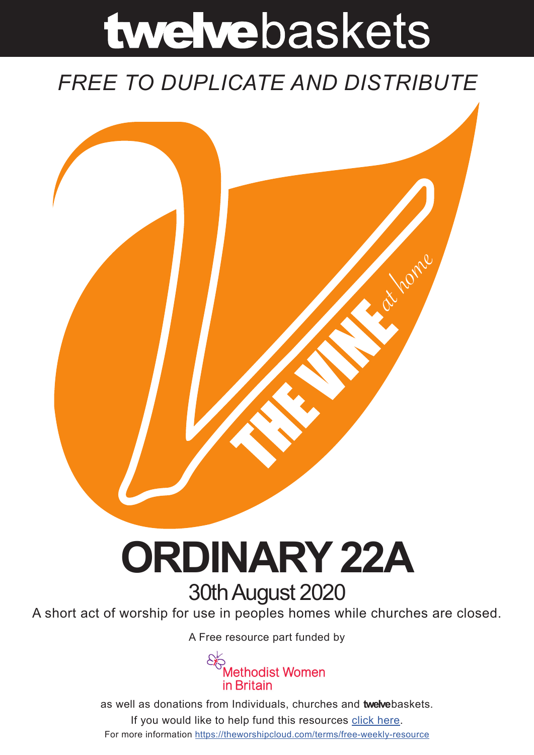# twelvebaskets

### *FREE TO DUPLICATE AND DISTRIBUTE*



## **ORDINARY 22A** 30th August 2020

A short act of worship for use in peoples homes while churches are closed.

A [Free resource part funded](https://mwib.org.uk) by



as well as donations from Individuals, churches and **twelve**baskets. If you would like to help fund this resources [click here]( https://theworshipcloud.com/tags/donation). For more information<https://theworshipcloud.com/terms/free-weekly-resource>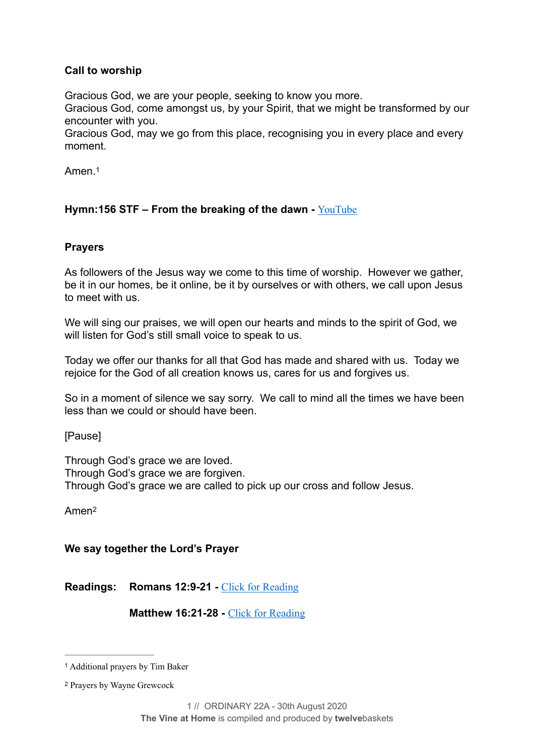#### **Call to worship**

Gracious God, we are your people, seeking to know you more.

Gracious God, come amongst us, by your Spirit, that we might be transformed by our encounter with you.

Gracious God, may we go from this place, recognising you in every place and every moment.

<span id="page-1-2"></span>Amen.[1](#page-1-0)

#### **Hymn:156 STF – From the breaking of the dawn -** [YouTube](https://www.youtube.com/watch?v=qA_sehrPVZo)

#### **Prayers**

As followers of the Jesus way we come to this time of worship. However we gather, be it in our homes, be it online, be it by ourselves or with others, we call upon Jesus to meet with us.

We will sing our praises, we will open our hearts and minds to the spirit of God, we will listen for God's still small voice to speak to us.

Today we offer our thanks for all that God has made and shared with us. Today we rejoice for the God of all creation knows us, cares for us and forgives us.

So in a moment of silence we say sorry. We call to mind all the times we have been less than we could or should have been.

[Pause]

Through God's grace we are loved. Through God's grace we are forgiven. Through God's grace we are called to pick up our cross and follow Jesus.

<span id="page-1-3"></span>Ame[n2](#page-1-1)

**We say together the Lord's Prayer** 

**Readings: Romans 12:9-21 -** [Click for Reading](https://www.biblegateway.com/passage/?search=Romans+12:9-21&version=NRSV)

**Matthew 16:21-28 - [Click for Reading](https://www.biblegateway.com/passage/?search=Matthew+16:21-28&version=NRSV)** 

<span id="page-1-0"></span>Additional prayers by Tim Baker [1](#page-1-2)

<span id="page-1-1"></span>[<sup>2</sup>](#page-1-3) Prayers by Wayne Grewcock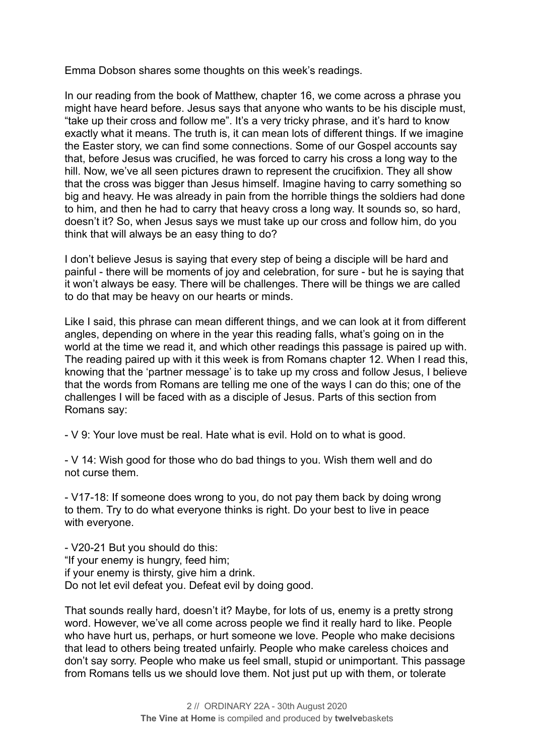Emma Dobson shares some thoughts on this week's readings.

In our reading from the book of Matthew, chapter 16, we come across a phrase you might have heard before. Jesus says that anyone who wants to be his disciple must, "take up their cross and follow me". It's a very tricky phrase, and it's hard to know exactly what it means. The truth is, it can mean lots of different things. If we imagine the Easter story, we can find some connections. Some of our Gospel accounts say that, before Jesus was crucified, he was forced to carry his cross a long way to the hill. Now, we've all seen pictures drawn to represent the crucifixion. They all show that the cross was bigger than Jesus himself. Imagine having to carry something so big and heavy. He was already in pain from the horrible things the soldiers had done to him, and then he had to carry that heavy cross a long way. It sounds so, so hard, doesn't it? So, when Jesus says we must take up our cross and follow him, do you think that will always be an easy thing to do?

I don't believe Jesus is saying that every step of being a disciple will be hard and painful - there will be moments of joy and celebration, for sure - but he is saying that it won't always be easy. There will be challenges. There will be things we are called to do that may be heavy on our hearts or minds.

Like I said, this phrase can mean different things, and we can look at it from different angles, depending on where in the year this reading falls, what's going on in the world at the time we read it, and which other readings this passage is paired up with. The reading paired up with it this week is from Romans chapter 12. When I read this, knowing that the 'partner message' is to take up my cross and follow Jesus, I believe that the words from Romans are telling me one of the ways I can do this; one of the challenges I will be faced with as a disciple of Jesus. Parts of this section from Romans say:

- V 9: Your love must be real. Hate what is evil. Hold on to what is good.

- V 14: Wish good for those who do bad things to you. Wish them well and do not curse them.

- V17-18: If someone does wrong to you, do not pay them back by doing wrong to them. Try to do what everyone thinks is right. Do your best to live in peace with everyone.

- V20-21 But you should do this: "If your enemy is hungry, feed him; if your enemy is thirsty, give him a drink. Do not let evil defeat you. Defeat evil by doing good.

That sounds really hard, doesn't it? Maybe, for lots of us, enemy is a pretty strong word. However, we've all come across people we find it really hard to like. People who have hurt us, perhaps, or hurt someone we love. People who make decisions that lead to others being treated unfairly. People who make careless choices and don't say sorry. People who make us feel small, stupid or unimportant. This passage from Romans tells us we should love them. Not just put up with them, or tolerate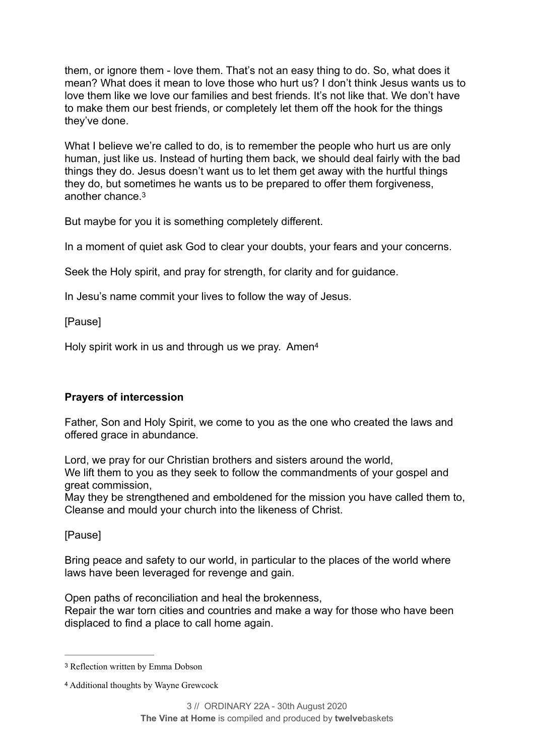them, or ignore them - love them. That's not an easy thing to do. So, what does it mean? What does it mean to love those who hurt us? I don't think Jesus wants us to love them like we love our families and best friends. It's not like that. We don't have to make them our best friends, or completely let them off the hook for the things they've done.

What I believe we're called to do, is to remember the people who hurt us are only human, just like us. Instead of hurting them back, we should deal fairly with the bad things they do. Jesus doesn't want us to let them get away with the hurtful things they do, but sometimes he wants us to be prepared to offer them forgiveness, another chance[.3](#page-3-0)

<span id="page-3-2"></span>But maybe for you it is something completely different.

In a moment of quiet ask God to clear your doubts, your fears and your concerns.

Seek the Holy spirit, and pray for strength, for clarity and for guidance.

In Jesu's name commit your lives to follow the way of Jesus.

[Pause]

<span id="page-3-3"></span>Holy spirit work in us and through us we pray. Amen<sup>[4](#page-3-1)</sup>

#### **Prayers of intercession**

Father, Son and Holy Spirit, we come to you as the one who created the laws and offered grace in abundance.

Lord, we pray for our Christian brothers and sisters around the world, We lift them to you as they seek to follow the commandments of your gospel and great commission,

May they be strengthened and emboldened for the mission you have called them to, Cleanse and mould your church into the likeness of Christ.

[Pause]

Bring peace and safety to our world, in particular to the places of the world where laws have been leveraged for revenge and gain.

Open paths of reconciliation and heal the brokenness, Repair the war torn cities and countries and make a way for those who have been

displaced to find a place to call home again.

<span id="page-3-0"></span>[<sup>3</sup>](#page-3-2) Reflection written by Emma Dobson

<span id="page-3-1"></span>[<sup>4</sup>](#page-3-3) Additional thoughts by Wayne Grewcock